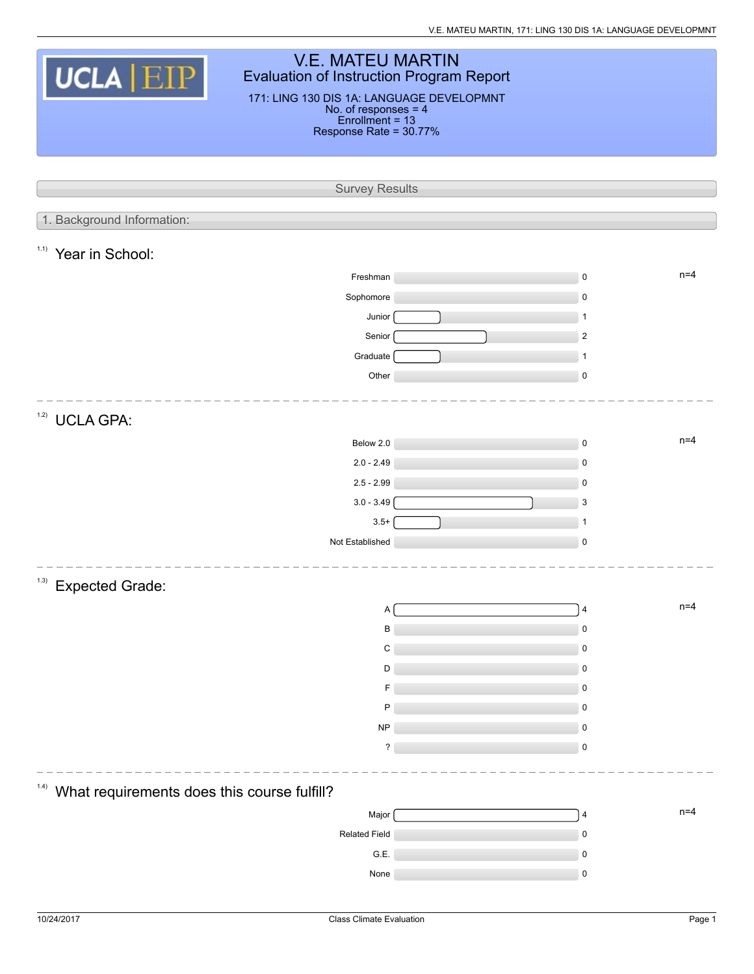V.E. MATEU MARTIN, 171: LING 130 DIS 1A: LANGUAGE DEVELOPMNT

| <b>V.E. MATEU MARTIN</b><br>UCLA EIP<br><b>Evaluation of Instruction Program Report</b><br>171: LING 130 DIS 1A: LANGUAGE DEVELOPMNT |                          |  |                |       |  |  |  |  |  |
|--------------------------------------------------------------------------------------------------------------------------------------|--------------------------|--|----------------|-------|--|--|--|--|--|
|                                                                                                                                      |                          |  |                |       |  |  |  |  |  |
| No. of responses = 4<br>Enrollment = 13<br>Response Rate = 30.77%                                                                    |                          |  |                |       |  |  |  |  |  |
|                                                                                                                                      |                          |  |                |       |  |  |  |  |  |
|                                                                                                                                      | <b>Survey Results</b>    |  |                |       |  |  |  |  |  |
| 1. Background Information:                                                                                                           |                          |  |                |       |  |  |  |  |  |
|                                                                                                                                      |                          |  |                |       |  |  |  |  |  |
| 1.1)<br>Year in School:                                                                                                              |                          |  |                |       |  |  |  |  |  |
|                                                                                                                                      | Freshman                 |  | $\mathbf 0$    | $n=4$ |  |  |  |  |  |
|                                                                                                                                      | Sophomore                |  | $\mathsf 0$    |       |  |  |  |  |  |
|                                                                                                                                      | Junior                   |  | $\mathbf{1}$   |       |  |  |  |  |  |
|                                                                                                                                      | Senior                   |  | $\overline{2}$ |       |  |  |  |  |  |
|                                                                                                                                      | Graduate                 |  | $\mathbf{1}$   |       |  |  |  |  |  |
|                                                                                                                                      | Other                    |  | $\mathsf 0$    |       |  |  |  |  |  |
| 1.2)<br><b>UCLA GPA:</b>                                                                                                             |                          |  |                |       |  |  |  |  |  |
|                                                                                                                                      | Below 2.0                |  | $\mathsf 0$    | $n=4$ |  |  |  |  |  |
|                                                                                                                                      | $2.0 - 2.49$             |  | $\mathsf 0$    |       |  |  |  |  |  |
|                                                                                                                                      | $2.5 - 2.99$             |  | $\mathbf 0$    |       |  |  |  |  |  |
|                                                                                                                                      | $3.0 - 3.49$             |  | 3              |       |  |  |  |  |  |
|                                                                                                                                      | $3.5+$                   |  | $\mathbf{1}$   |       |  |  |  |  |  |
|                                                                                                                                      | Not Established          |  | $\mathsf 0$    |       |  |  |  |  |  |
|                                                                                                                                      |                          |  |                |       |  |  |  |  |  |
| (1.3)<br><b>Expected Grade:</b>                                                                                                      |                          |  |                |       |  |  |  |  |  |
|                                                                                                                                      | А                        |  | $\overline{4}$ | $n=4$ |  |  |  |  |  |
|                                                                                                                                      | В                        |  | $\mathbf 0$    |       |  |  |  |  |  |
|                                                                                                                                      | C                        |  | 0              |       |  |  |  |  |  |
|                                                                                                                                      | D                        |  | 0              |       |  |  |  |  |  |
|                                                                                                                                      | F                        |  | $\pmb{0}$      |       |  |  |  |  |  |
|                                                                                                                                      | P                        |  | 0              |       |  |  |  |  |  |
|                                                                                                                                      | <b>NP</b>                |  | $\mathbf 0$    |       |  |  |  |  |  |
|                                                                                                                                      | $\overline{\phantom{a}}$ |  | $\mathbf 0$    |       |  |  |  |  |  |
| (1.4)<br>What requirements does this course fulfill?                                                                                 |                          |  |                |       |  |  |  |  |  |
|                                                                                                                                      | Major                    |  | $\overline{4}$ | $n=4$ |  |  |  |  |  |
|                                                                                                                                      | Related Field            |  | 0              |       |  |  |  |  |  |
|                                                                                                                                      | G.E.                     |  | $\mathbf 0$    |       |  |  |  |  |  |
|                                                                                                                                      | None                     |  | 0              |       |  |  |  |  |  |
|                                                                                                                                      |                          |  |                |       |  |  |  |  |  |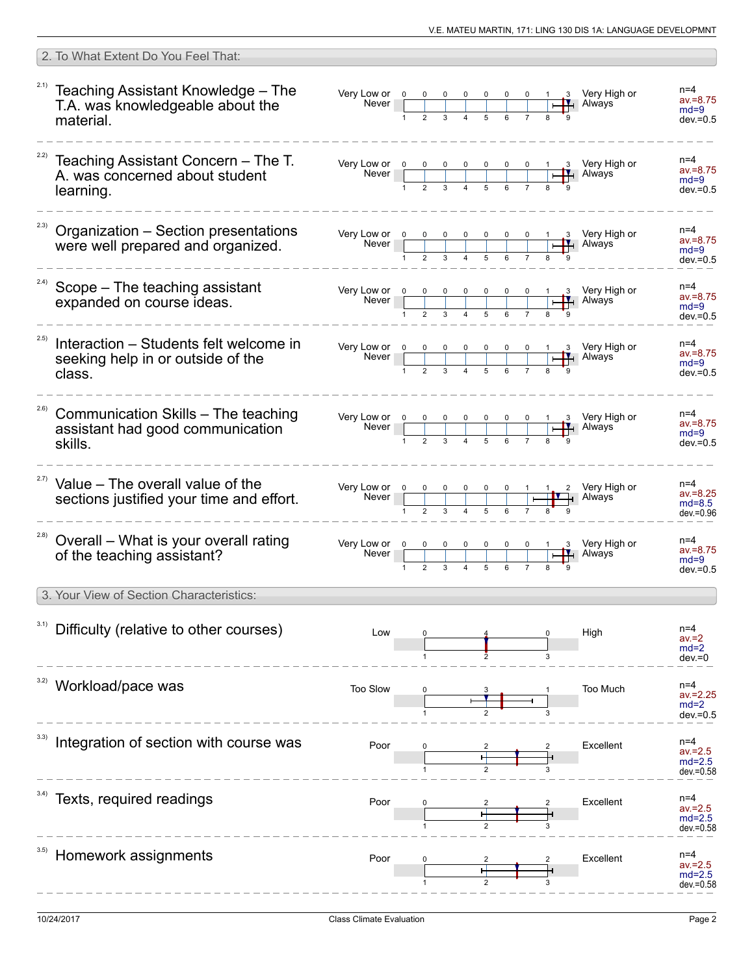|       | 2. To What Extent Do You Feel That:                                                                |                                      |              |  |  |  |    |                                                                                                                                                                                                                                                                                                                                                                                                        |                                                  |
|-------|----------------------------------------------------------------------------------------------------|--------------------------------------|--------------|--|--|--|----|--------------------------------------------------------------------------------------------------------------------------------------------------------------------------------------------------------------------------------------------------------------------------------------------------------------------------------------------------------------------------------------------------------|--------------------------------------------------|
|       | $21)$ Teaching Assistant Knowledge - The<br>T.A. was knowledgeable about the<br>material.          | Very Low or 0<br>Never <sub>1</sub>  |              |  |  |  |    | 0 0 0 0 0 1 3 Very High or<br><b>H</b> Always                                                                                                                                                                                                                                                                                                                                                          | $n=4$<br>$av = 8.75$<br>$md=9$<br>$dev = 0.5$    |
|       | $222$ Teaching Assistant Concern - The T.<br>A. was concerned about student<br>learning.           |                                      |              |  |  |  | ─₩ | 3 Very High or<br>Always                                                                                                                                                                                                                                                                                                                                                                               | $n=4$<br>$av = 8.75$<br>$md=9$<br>$dev = 0.5$    |
| 2.3)  | Organization - Section presentations<br>were well prepared and organized.                          | Very Low or $\frac{0}{2}$<br>Never [ |              |  |  |  |    | 3 Very High or<br><b>Always</b>                                                                                                                                                                                                                                                                                                                                                                        | $n=4$<br>$av = 8.75$<br>$md=9$<br>$dev = 0.5$    |
|       | $24)$ Scope – The teaching assistant<br>expanded on course ideas.                                  |                                      | $\mathbf{1}$ |  |  |  |    | Very Low or $\begin{array}{ccccccccccccc}\n0 & 0 & 0 & 0 & 0 & 0 & 1 & 3 & \n\end{array}$ Very High or Never<br>H Always                                                                                                                                                                                                                                                                               | $n=4$<br>$av = 8.75$<br>$md=9$<br>$dev = 0.5$    |
| 2.5)  | Interaction – Students felt welcome in<br>seeking help in or outside of the<br>class.              |                                      |              |  |  |  |    | Very Low or $\begin{array}{ c c c c c c }\n\hline\n&\text{N} & \text{O} & \text{O} & \text{O} & \text{O} & \text{O} & \text{O} & \text{O} & \text{O} & \text{O} & \text{O} & \text{O} & \text{O} & \text{O} & \text{O} & \text{O} & \text{O} & \text{O} & \text{O} & \text{O} & \text{O} & \text{O} & \text{O} & \text{O} & \text{O} & \text{O} & \text{O} & \text{O} & \text{O} & \text{O} & \text{O$ | $n=4$<br>$av = 8.75$<br>$md=9$<br>$dev = 0.5$    |
|       | <sup>2.6)</sup> Communication Skills - The teaching<br>assistant had good communication<br>skills. |                                      |              |  |  |  |    | Very Low or $\begin{array}{ c c c c c c c c c }\n\hline\n& & & & & & \\ \hline\n& & & & & & \\ \hline\n& 1 & 2 & 3 & 4 & 5 & 6 & 7 & 8 & 9 \\ \hline\n& 1 & 2 & 3 & 4 & 5 & 6 & 7 & 8 & 9\n\end{array}$ Laways                                                                                                                                                                                         | $n=4$<br>$av = 8.75$<br>$md=9$<br>$dev = 0.5$    |
|       | $27)$ Value – The overall value of the<br>sections justified your time and effort.                 | Very Low or 0<br>Never               |              |  |  |  |    | 2 Very High or<br>Always                                                                                                                                                                                                                                                                                                                                                                               | $n=4$<br>$av = 8.25$<br>$md=8.5$<br>$dev = 0.96$ |
| (2.8) | Overall - What is your overall rating<br>of the teaching assistant?                                | Very Low or 0<br>Never               | $\mathbf{1}$ |  |  |  |    | 3 Very High or<br>Always                                                                                                                                                                                                                                                                                                                                                                               | $n=4$<br>$av = 8.75$<br>$md=9$<br>$dev = 0.5$    |
|       | 3. Your View of Section Characteristics:                                                           |                                      |              |  |  |  |    |                                                                                                                                                                                                                                                                                                                                                                                                        |                                                  |
|       | Difficulty (relative to other courses)                                                             | Low                                  |              |  |  |  |    | High                                                                                                                                                                                                                                                                                                                                                                                                   | n=4<br>av.=2<br>$md=2$<br>$dev = 0$              |
|       | Workload/pace was                                                                                  | Too Slow                             |              |  |  |  |    | Too Much                                                                                                                                                                                                                                                                                                                                                                                               | $n=4$<br>$av = 2.25$<br>$md=2$<br>$dev = 0.5$    |
|       | Integration of section with course was                                                             | Poor                                 |              |  |  |  |    | Excellent                                                                                                                                                                                                                                                                                                                                                                                              | $n=4$<br>$av = 2.5$<br>$md=2.5$<br>$dev = 0.58$  |
|       | Texts, required readings                                                                           | Poor                                 |              |  |  |  |    | Excellent                                                                                                                                                                                                                                                                                                                                                                                              | $n=4$<br>$av = 2.5$<br>$md=2.5$<br>$dev = 0.58$  |
|       | Homework assignments                                                                               | Poor                                 |              |  |  |  |    | Excellent                                                                                                                                                                                                                                                                                                                                                                                              | $n=4$<br>$av = 2.5$<br>$md=2.5$<br>$dev = 0.58$  |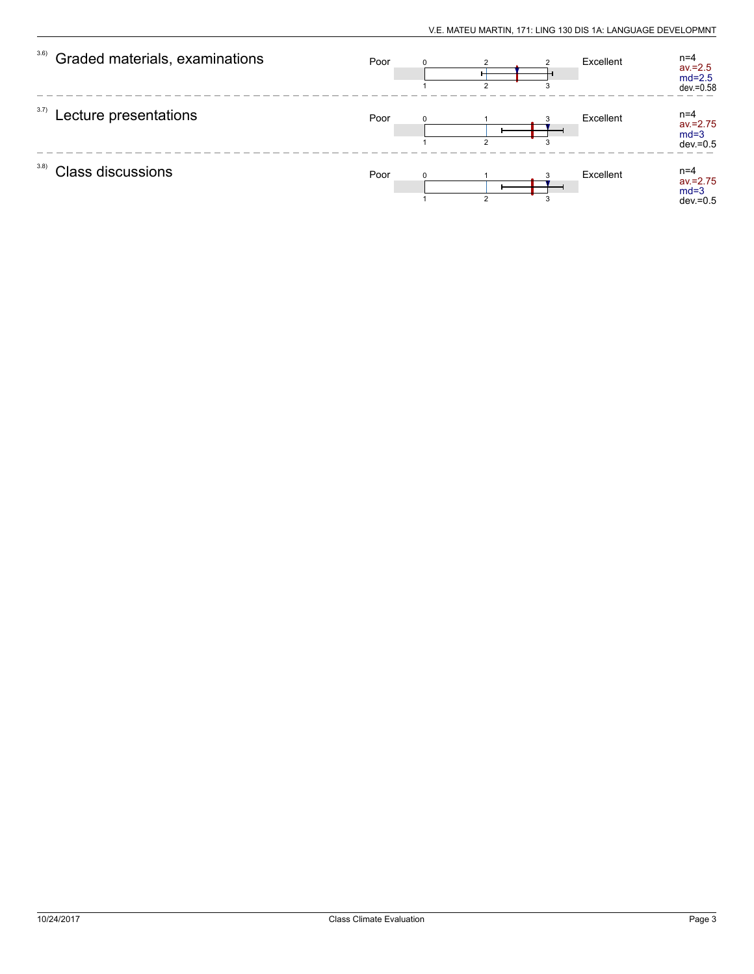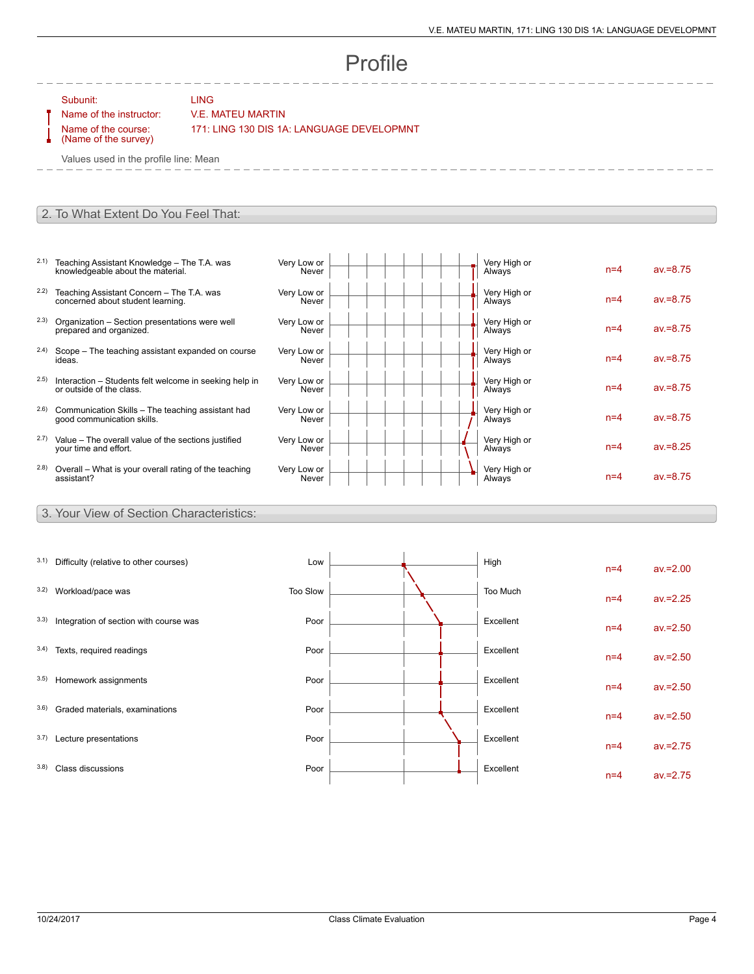# Profile

Subunit: LING

### Name of the instructor: V.E. MATEU MARTIN

Name of the course: (Name of the survey) 171: LING 130 DIS 1A: LANGUAGE DEVELOPMNT

Values used in the profile line: Mean

#### 2. To What Extent Do You Feel That:

- 2.1) Teaching Assistant Knowledge The T.A. was knowledgeable about the material.
- 2.2) Teaching Assistant Concern The T.A. was concerned about student learning.
- 2.3) Organization Section presentations were well prepared and organized.
- 2.4) Scope The teaching assistant expanded on course ideas.
- 2.5) Interaction Students felt welcome in seeking help in or outside of the class.
- 2.6) Communication Skills The teaching assistant had good communication skills.
- 2.7) Value The overall value of the sections justified your time and effort.
- 2.8) Overall What is your overall rating of the teaching assistant?

3. Your View of Section Characteristics:

| Very Low or<br>Never | Very High or<br>Always | $n=4$ | $av = 8.75$ |
|----------------------|------------------------|-------|-------------|
| Very Low or<br>Never | Very High or<br>Always | $n=4$ | $av = 8.75$ |
| Very Low or<br>Never | Very High or<br>Always | $n=4$ | $av = 8.75$ |
| Very Low or<br>Never | Very High or<br>Always | $n=4$ | $av = 8.75$ |
| Very Low or<br>Never | Very High or<br>Always | $n=4$ | $av = 8.75$ |
| Very Low or<br>Never | Very High or<br>Always | $n=4$ | $av = 8.75$ |
| Very Low or<br>Never | Very High or<br>Always | $n=4$ | $av = 8.25$ |
| Very Low or<br>Never | Very High or<br>Always | $n=4$ | $av = 8.75$ |
|                      |                        |       |             |

|      | 3.1) Difficulty (relative to other courses) | Low      | High      | $n=4$ | $av = 2.00$ |
|------|---------------------------------------------|----------|-----------|-------|-------------|
|      | 3.2) Workload/pace was                      | Too Slow | Too Much  | $n=4$ | $av = 2.25$ |
|      | 3.3) Integration of section with course was | Poor     | Excellent | $n=4$ | $av = 2.50$ |
|      | 3.4) Texts, required readings               | Poor     | Excellent | $n=4$ | $av = 2.50$ |
|      | 3.5) Homework assignments                   | Poor     | Excellent | $n=4$ | $av = 2.50$ |
|      | 3.6) Graded materials, examinations         | Poor     | Excellent | $n=4$ | $av = 2.50$ |
|      | 3.7) Lecture presentations                  | Poor     | Excellent | $n=4$ | $av = 2.75$ |
| 3.8) | Class discussions                           | Poor     | Excellent | $n=4$ | $av = 2.75$ |